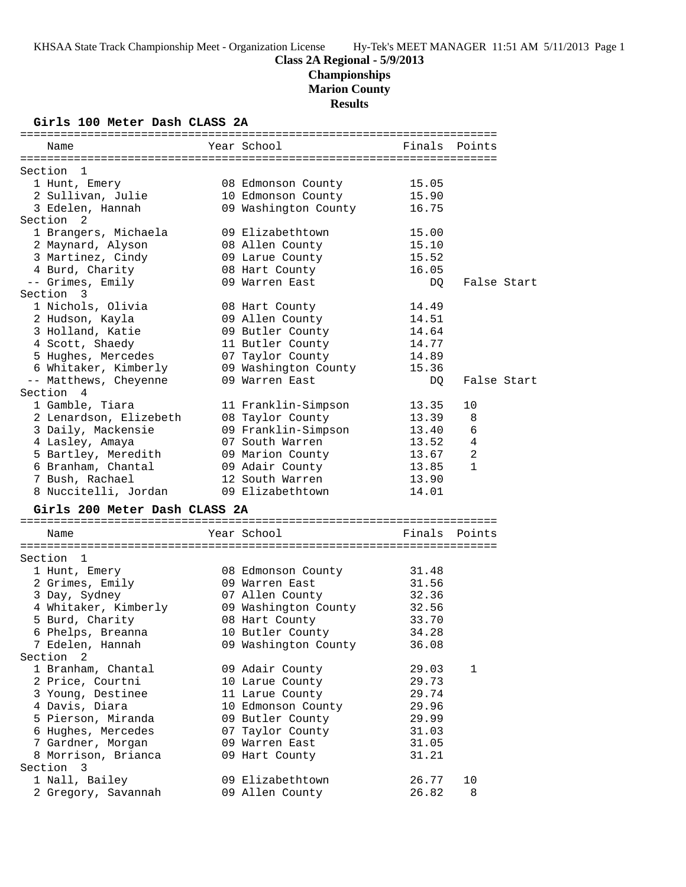**Championships Marion County**

**Results**

# **Girls 100 Meter Dash CLASS 2A**

| Name                                      | Year School                        | Finals Points  |                |             |
|-------------------------------------------|------------------------------------|----------------|----------------|-------------|
|                                           |                                    |                |                |             |
| Section<br>1                              |                                    |                |                |             |
| 1 Hunt, Emery                             | 08 Edmonson County                 | 15.05          |                |             |
| 2 Sullivan, Julie                         | 10 Edmonson County                 | 15.90          |                |             |
| 3 Edelen, Hannah<br>Section<br>2          | 09 Washington County               | 16.75          |                |             |
|                                           | 09 Elizabethtown                   |                |                |             |
| 1 Brangers, Michaela<br>2 Maynard, Alyson | 08 Allen County                    | 15.00<br>15.10 |                |             |
| 3 Martinez, Cindy                         | 09 Larue County                    | 15.52          |                |             |
| 4 Burd, Charity                           | 08 Hart County                     | 16.05          |                |             |
| -- Grimes, Emily                          | 09 Warren East                     | DQ             |                | False Start |
| Section 3                                 |                                    |                |                |             |
| 1 Nichols, Olivia                         | 08 Hart County                     | 14.49          |                |             |
| 2 Hudson, Kayla                           | 09 Allen County                    | 14.51          |                |             |
| 3 Holland, Katie                          | 09 Butler County                   | 14.64          |                |             |
| 4 Scott, Shaedy                           | 11 Butler County                   | 14.77          |                |             |
| 5 Hughes, Mercedes                        | 07 Taylor County                   | 14.89          |                |             |
| 6 Whitaker, Kimberly                      | 09 Washington County               | 15.36          |                |             |
| -- Matthews, Cheyenne                     | 09 Warren East                     | DQ             |                | False Start |
| Section 4                                 |                                    |                |                |             |
| 1 Gamble, Tiara                           | 11 Franklin-Simpson                | 13.35          | 10             |             |
| 2 Lenardson, Elizebeth                    | 08 Taylor County                   | 13.39          | 8              |             |
| 3 Daily, Mackensie                        | 09 Franklin-Simpson                | 13.40          | 6              |             |
| 4 Lasley, Amaya                           | 07 South Warren                    | 13.52          | $\overline{4}$ |             |
| 5 Bartley, Meredith                       | 09 Marion County                   | 13.67          | $\overline{a}$ |             |
| 6 Branham, Chantal                        | 09 Adair County                    | 13.85          | $\mathbf{1}$   |             |
| 7 Bush, Rachael                           | 12 South Warren                    | 13.90          |                |             |
| 8 Nuccitelli, Jordan                      | 09 Elizabethtown                   | 14.01          |                |             |
| Girls 200 Meter Dash CLASS 2A             |                                    |                |                |             |
|                                           |                                    |                |                |             |
| Name                                      | Year School                        | Finals Points  |                |             |
|                                           |                                    |                |                |             |
| Section 1                                 |                                    |                |                |             |
| 1 Hunt, Emery                             | 08 Edmonson County                 | 31.48          |                |             |
| 2 Grimes, Emily                           | 09 Warren East                     | 31.56          |                |             |
| 3 Day, Sydney                             | 07 Allen County                    | 32.36          |                |             |
| 4 Whitaker, Kimberly                      | 09 Washington County               | 32.56          |                |             |
| 5 Burd, Charity                           | 08 Hart County                     | 33.70          |                |             |
| 6 Phelps, Breanna                         | 10 Butler County                   | 34.28          |                |             |
| 7 Edelen, Hannah                          | 09 Washington County               | 36.08          |                |             |
| Section 2<br>1 Branham, Chantal           |                                    |                |                |             |
| 2 Price, Courtni                          | 09 Adair County<br>10 Larue County | 29.03<br>29.73 | 1              |             |
| 3 Young, Destinee                         | 11 Larue County                    | 29.74          |                |             |
| 4 Davis, Diara                            | 10 Edmonson County                 |                |                |             |
| 5 Pierson, Miranda                        | 09 Butler County                   | 29.96<br>29.99 |                |             |
| 6 Hughes, Mercedes                        | 07 Taylor County                   | 31.03          |                |             |
| 7 Gardner, Morgan                         | 09 Warren East                     | 31.05          |                |             |
| 8 Morrison, Brianca                       | 09 Hart County                     | 31.21          |                |             |
| Section 3                                 |                                    |                |                |             |
| 1 Nall, Bailey                            | 09 Elizabethtown                   | 26.77          | 10             |             |
| 2 Gregory, Savannah                       | 09 Allen County                    | 26.82          | 8              |             |
|                                           |                                    |                |                |             |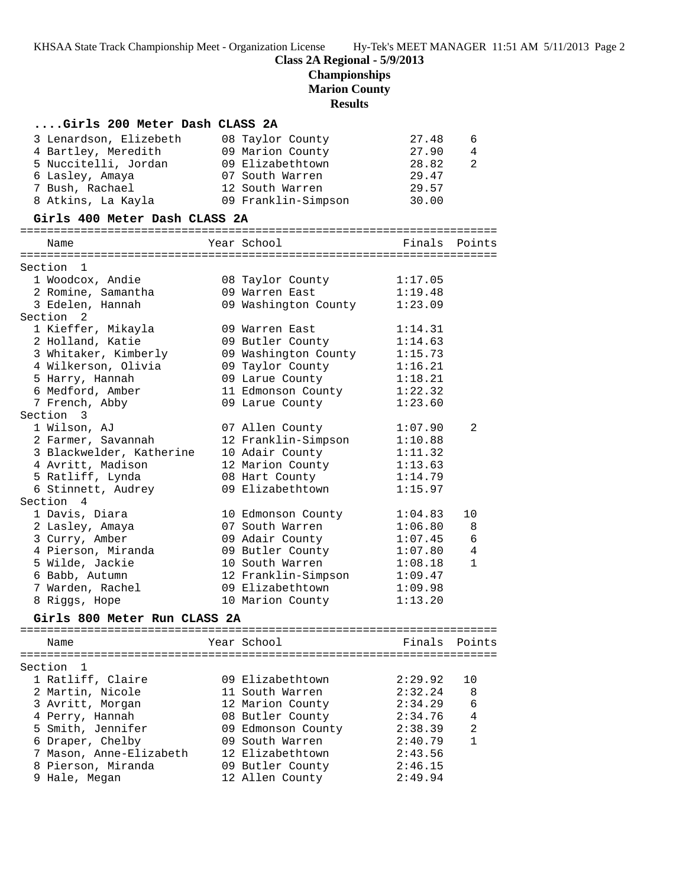**Championships**

**Marion County**

**Results**

## **....Girls 200 Meter Dash CLASS 2A**

| 3 Lenardson, Elizebeth        | 08 Taylor County     | 27.48   | 6             |
|-------------------------------|----------------------|---------|---------------|
| 4 Bartley, Meredith           | 09 Marion County     | 27.90   | 4             |
| 5 Nuccitelli, Jordan          | 09 Elizabethtown     | 28.82   | 2             |
| 6 Lasley, Amaya               | 07 South Warren      | 29.47   |               |
| 7 Bush, Rachael               | 12 South Warren      | 29.57   |               |
| 8 Atkins, La Kayla            | 09 Franklin-Simpson  | 30.00   |               |
| Girls 400 Meter Dash CLASS 2A |                      |         |               |
| Name                          | Year School          |         | Finals Points |
| Section 1                     |                      |         |               |
| 1 Woodcox, Andie              | 08 Taylor County     | 1:17.05 |               |
| 2 Romine, Samantha            | 09 Warren East       | 1:19.48 |               |
| 3 Edelen, Hannah              | 09 Washington County | 1:23.09 |               |
| Section<br>2                  |                      |         |               |
| 1 Kieffer, Mikayla            | 09 Warren East       | 1:14.31 |               |
| 2 Holland, Katie              | 09 Butler County     | 1:14.63 |               |
| 3 Whitaker, Kimberly          | 09 Washington County | 1:15.73 |               |
| 4 Wilkerson, Olivia           | 09 Taylor County     | 1:16.21 |               |
| 5 Harry, Hannah               | 09 Larue County      | 1:18.21 |               |
| 6 Medford, Amber              | 11 Edmonson County   | 1:22.32 |               |
| 7 French, Abby<br>Section 3   | 09 Larue County      | 1:23.60 |               |
| 1 Wilson, AJ                  | 07 Allen County      | 1:07.90 | 2             |
| 2 Farmer, Savannah            | 12 Franklin-Simpson  | 1:10.88 |               |
| 3 Blackwelder, Katherine      | 10 Adair County      | 1:11.32 |               |
| 4 Avritt, Madison             | 12 Marion County     | 1:13.63 |               |
| 5 Ratliff, Lynda              | 08 Hart County       | 1:14.79 |               |
| 6 Stinnett, Audrey            | 09 Elizabethtown     | 1:15.97 |               |
| Section 4                     |                      |         |               |
| 1 Davis, Diara                | 10 Edmonson County   | 1:04.83 | 10            |
| 2 Lasley, Amaya               | 07 South Warren      | 1:06.80 | 8             |
| 3 Curry, Amber                | 09 Adair County      | 1:07.45 | 6             |
| 4 Pierson, Miranda            | 09 Butler County     | 1:07.80 | 4             |
| 5 Wilde, Jackie               | 10 South Warren      | 1:08.18 | $\mathbf{1}$  |
| 6 Babb, Autumn                | 12 Franklin-Simpson  | 1:09.47 |               |
| 7 Warden, Rachel              | 09 Elizabethtown     | 1:09.98 |               |
| 8 Riggs, Hope                 | 10 Marion County     | 1:13.20 |               |
| Girls 800 Meter Run CLASS 2A  |                      |         |               |
| Name                          | Year School          | Finals  | Points        |
| Section 1                     |                      |         |               |

| 1 Ratliff, Claire       | 09 Elizabethtown   | 2:29.92 | 1 O            |
|-------------------------|--------------------|---------|----------------|
| 2 Martin, Nicole        | 11 South Warren    | 2:32.24 | 8              |
| 3 Avritt, Morgan        | 12 Marion County   | 2:34.29 | 6              |
| 4 Perry, Hannah         | 08 Butler County   | 2:34.76 | $\overline{4}$ |
| 5 Smith, Jennifer       | 09 Edmonson County | 2:38.39 | $\mathcal{L}$  |
| 6 Draper, Chelby        | 09 South Warren    | 2:40.79 | $\mathbf{1}$   |
| 7 Mason, Anne-Elizabeth | 12 Elizabethtown   | 2:43.56 |                |
| 8 Pierson, Miranda      | 09 Butler County   | 2:46.15 |                |
| 9 Hale, Megan           | 12 Allen County    | 2:49.94 |                |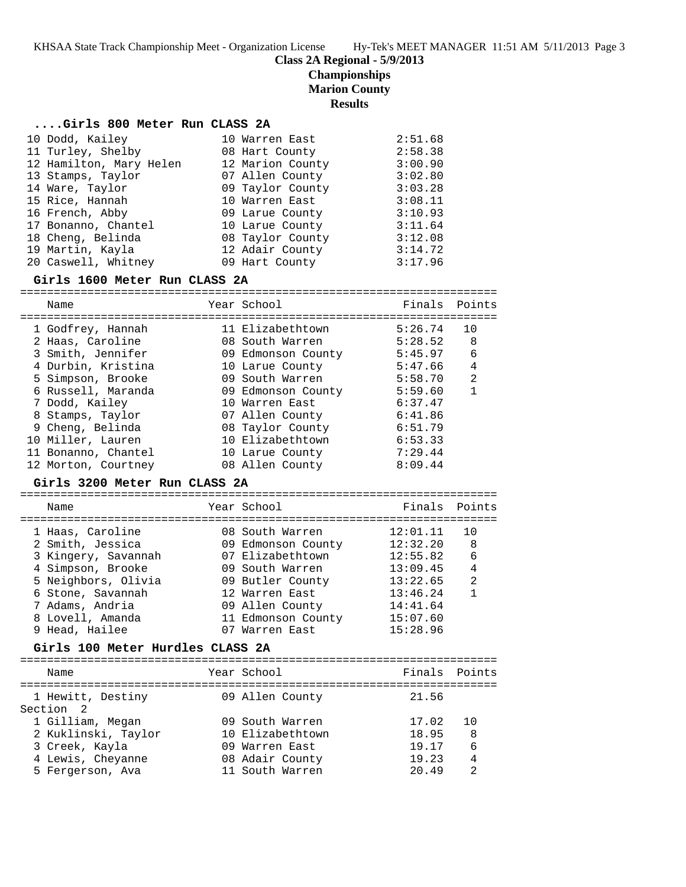**Championships**

**Marion County**

**Results**

#### **....Girls 800 Meter Run CLASS 2A**

| 10 Dodd, Kailey         | 10 Warren East   | 2:51.68 |
|-------------------------|------------------|---------|
| 11 Turley, Shelby       | 08 Hart County   | 2:58.38 |
| 12 Hamilton, Mary Helen | 12 Marion County | 3:00.90 |
| 13 Stamps, Taylor       | 07 Allen County  | 3:02.80 |
| 14 Ware, Taylor         | 09 Taylor County | 3:03.28 |
| 15 Rice, Hannah         | 10 Warren East   | 3:08.11 |
| 16 French, Abby         | 09 Larue County  | 3:10.93 |
| 17 Bonanno, Chantel     | 10 Larue County  | 3:11.64 |
| 18 Cheng, Belinda       | 08 Taylor County | 3:12.08 |
| 19 Martin, Kayla        | 12 Adair County  | 3:14.72 |
| 20 Caswell, Whitney     | 09 Hart County   | 3:17.96 |

#### **Girls 1600 Meter Run CLASS 2A**

| Name                                                                            |  | Year School                        | Finals Points |              |  |
|---------------------------------------------------------------------------------|--|------------------------------------|---------------|--------------|--|
| 1 Godfrey, Hannah                                                               |  | --------------<br>11 Elizabethtown | 5:26.74       | 10           |  |
| 2 Haas, Caroline                                                                |  | $08$ South Warren $5:28.52$        |               | 8            |  |
|                                                                                 |  |                                    |               |              |  |
| 3 Smith, Jennifer                                                               |  | 09 Edmonson County 5:45.97         |               | 6            |  |
| 4 Durbin, Kristina                                                              |  | 10 Larue County 5:47.66            |               | 4            |  |
| 5 Simpson, Brooke                                                               |  |                                    |               | 2            |  |
| 6 Russell, Maranda                       09 Edmonson County             5:59.60 |  |                                    |               | $\mathbf{1}$ |  |
| 7 Dodd, Kailey                                                                  |  | 10 Warren East 6:37.47             |               |              |  |
| 8 Stamps, Taylor                                                                |  | 07 Allen County 6:41.86            |               |              |  |
| 9 Cheng, Belinda                           08 Taylor County                     |  |                                    | 6:51.79       |              |  |
| 10 Miller, Lauren                                                               |  | 10 Elizabethtown                   | 6:53.33       |              |  |
| 11 Bonanno, Chantel                                                             |  | 10 Larue County 7:29.44            |               |              |  |
| 12 Morton, Courtney                                                             |  | 08 Allen County                    | 8:09.44       |              |  |
| Girls 3200 Meter Run CLASS 2A                                                   |  |                                    |               |              |  |
|                                                                                 |  | -----------------------------      | Finals        | Points       |  |
| Name                                                                            |  | Year School                        |               |              |  |
|                                                                                 |  |                                    |               |              |  |
| 1 Haas, Caroline                                                                |  | 08 South Warren                    | 12:01.11      | 10           |  |
| 2 Smith, Jessica                                                                |  | 09 Edmonson County                 | 12:32.20      | 8            |  |
| 3 Kingery, Savannah (07 Elizabethtown)                                          |  |                                    | 12:55.82      | 6            |  |
| 4 Simpson, Brooke                                                               |  | 09 South Warren                    | 13:09.45      | 4            |  |
| 5 Neighbors, Olivia                                                             |  | 09 Butler County                   | 13:22.65      | 2            |  |

 6 Stone, Savannah 12 Warren East 13:46.24 1 7 Adams, Andria 09 Allen County 14:41.64 8 Lovell, Amanda 11 Edmonson County 15:07.60 9 Head, Hailee 07 Warren East 15:28.96 **Girls 100 Meter Hurdles CLASS 2A** =======================================================================

|                     | Finals Points                                                                                                                 |     |
|---------------------|-------------------------------------------------------------------------------------------------------------------------------|-----|
| 1 Hewitt, Destiny   | 21.56                                                                                                                         |     |
|                     |                                                                                                                               |     |
| 1 Gilliam, Megan    | 17.02                                                                                                                         | 1 O |
| 2 Kuklinski, Taylor | 18.95                                                                                                                         | 8   |
| 3 Creek, Kayla      | 19.17                                                                                                                         | 6   |
| 4 Lewis, Cheyanne   | 19.23                                                                                                                         | 4   |
| 5 Fergerson, Ava    | 20.49                                                                                                                         | ာ   |
|                     | Year School<br>09 Allen County<br>09 South Warren<br>10 Elizabethtown<br>09 Warren East<br>08 Adair County<br>11 South Warren |     |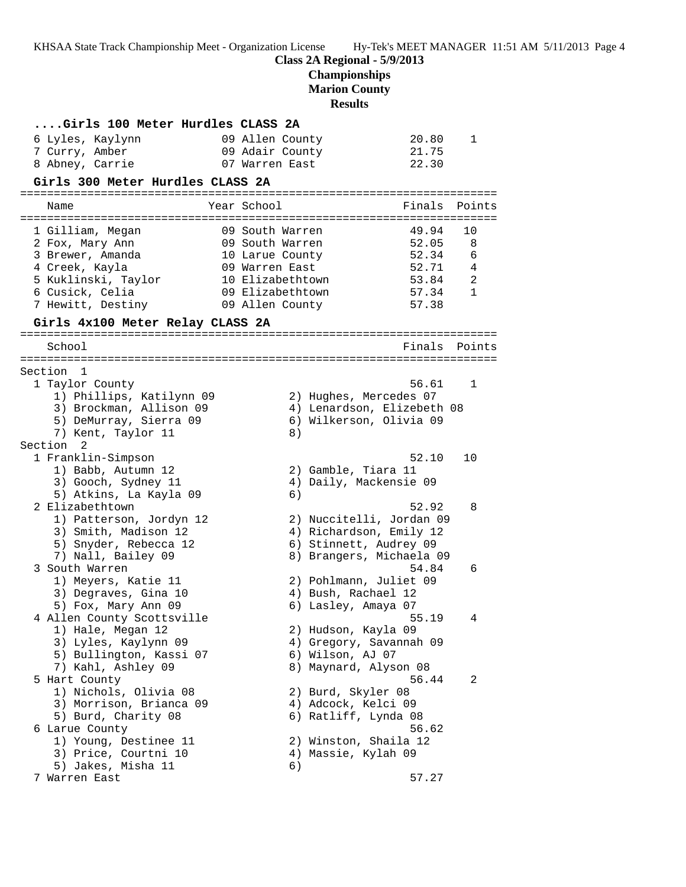KHSAA State Track Championship Meet - Organization License Hy-Tek's MEET MANAGER 11:51 AM 5/11/2013 Page 4

## **Class 2A Regional - 5/9/2013**

**Championships**

**Marion County**

**Results**

| Girls 100 Meter Hurdles CLASS 2A                |             |                                    |                            |                |                            |
|-------------------------------------------------|-------------|------------------------------------|----------------------------|----------------|----------------------------|
| 6 Lyles, Kaylynn                                |             | 09 Allen County                    |                            | 20.80          | 1                          |
| 7 Curry, Amber                                  |             | 09 Adair County                    |                            | 21.75          |                            |
| 8 Abney, Carrie                                 |             | 07 Warren East                     |                            | 22.30          |                            |
| Girls 300 Meter Hurdles CLASS 2A                |             |                                    |                            |                |                            |
| Name                                            | Year School |                                    |                            | Finals         | Points                     |
|                                                 |             |                                    |                            |                |                            |
| 1 Gilliam, Megan                                |             | 09 South Warren                    |                            | 49.94          | 10                         |
| 2 Fox, Mary Ann<br>3 Brewer, Amanda             |             | 09 South Warren<br>10 Larue County |                            | 52.05<br>52.34 | -8<br>6                    |
| 4 Creek, Kayla                                  |             | 09 Warren East                     |                            | 52.71          | 4                          |
| 5 Kuklinski, Taylor                             |             | 10 Elizabethtown                   |                            | 53.84          | $\overline{\phantom{0}}^2$ |
| 6 Cusick, Celia                                 |             | 09 Elizabethtown                   |                            | 57.34          | 1                          |
| 7 Hewitt, Destiny                               |             | 09 Allen County                    |                            | 57.38          |                            |
| Girls 4x100 Meter Relay CLASS 2A                |             |                                    |                            |                |                            |
|                                                 |             |                                    |                            |                |                            |
| School                                          |             |                                    |                            | Finals         | Points                     |
| Section 1                                       |             |                                    |                            |                |                            |
| 1 Taylor County                                 |             |                                    |                            | 56.61          | 1                          |
| 1) Phillips, Katilynn 09                        |             |                                    | 2) Hughes, Mercedes 07     |                |                            |
| 3) Brockman, Allison 09                         |             |                                    | 4) Lenardson, Elizebeth 08 |                |                            |
| 5) DeMurray, Sierra 09                          |             |                                    | 6) Wilkerson, Olivia 09    |                |                            |
| 7) Kent, Taylor 11                              |             | 8)                                 |                            |                |                            |
| Section 2                                       |             |                                    |                            |                |                            |
| 1 Franklin-Simpson                              |             |                                    |                            | 52.10          | 10                         |
| 1) Babb, Autumn 12                              |             |                                    | 2) Gamble, Tiara 11        |                |                            |
| 3) Gooch, Sydney 11<br>5) Atkins, La Kayla 09   |             | 6)                                 | 4) Daily, Mackensie 09     |                |                            |
| 2 Elizabethtown                                 |             |                                    |                            | 52.92          | 8                          |
| 1) Patterson, Jordyn 12                         |             |                                    | 2) Nuccitelli, Jordan 09   |                |                            |
| 3) Smith, Madison 12                            |             |                                    | 4) Richardson, Emily 12    |                |                            |
| 5) Snyder, Rebecca 12                           |             |                                    | 6) Stinnett, Audrey 09     |                |                            |
| 7) Nall, Bailey 09                              |             |                                    | 8) Brangers, Michaela 09   |                |                            |
| 3 South Warren                                  |             |                                    |                            | 54.84          | 6                          |
| 1) Meyers, Katie 11                             |             |                                    | 2) Pohlmann, Juliet 09     |                |                            |
| 3) Degraves, Gina 10                            |             |                                    | 4) Bush, Rachael 12        |                |                            |
| 5) Fox, Mary Ann 09                             |             |                                    | 6) Lasley, Amaya 07        | 55.19          | 4                          |
| 4 Allen County Scottsville<br>1) Hale, Megan 12 |             |                                    | 2) Hudson, Kayla 09        |                |                            |
| 3) Lyles, Kaylynn 09                            |             |                                    | 4) Gregory, Savannah 09    |                |                            |
| 5) Bullington, Kassi 07                         |             |                                    | 6) Wilson, AJ 07           |                |                            |
| 7) Kahl, Ashley 09                              |             |                                    | 8) Maynard, Alyson 08      |                |                            |
| 5 Hart County                                   |             |                                    |                            | 56.44          | 2                          |
| 1) Nichols, Olivia 08                           |             |                                    | 2) Burd, Skyler 08         |                |                            |
| 3) Morrison, Brianca 09                         |             |                                    | 4) Adcock, Kelci 09        |                |                            |
| 5) Burd, Charity 08                             |             |                                    | 6) Ratliff, Lynda 08       |                |                            |
| 6 Larue County                                  |             |                                    |                            | 56.62          |                            |
| 1) Young, Destinee 11                           |             |                                    | 2) Winston, Shaila 12      |                |                            |
| 3) Price, Courtni 10                            |             |                                    | 4) Massie, Kylah 09        |                |                            |
| 5) Jakes, Misha 11<br>7 Warren East             |             | 6)                                 |                            | 57.27          |                            |
|                                                 |             |                                    |                            |                |                            |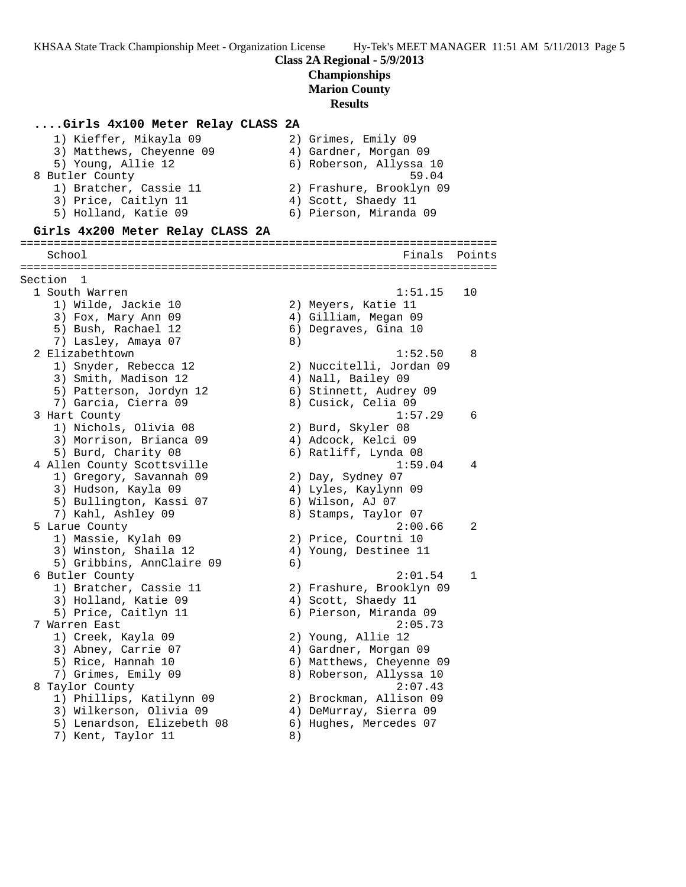### **Class 2A Regional - 5/9/2013 Championships**

**Marion County**

### **Results**

#### **....Girls 4x100 Meter Relay CLASS 2A**

| 1) Kieffer, Mikayla 09           | 2) Grimes, Emily 09      |
|----------------------------------|--------------------------|
| 3) Matthews, Cheyenne 09         | 4) Gardner, Morgan 09    |
| 5) Young, Allie 12               | 6) Roberson, Allyssa 10  |
| 8 Butler County                  | 59.04                    |
| 1) Bratcher, Cassie 11           | 2) Frashure, Brooklyn 09 |
| 3) Price, Caitlyn 11             | 4) Scott, Shaedy 11      |
| 5) Holland, Katie 09             | 6) Pierson, Miranda 09   |
| Girls 4x200 Meter Relay CLASS 2A |                          |

=======================================================================

### School **Finals** Points **Points** ======================================================================= Section 1 1 South Warren 1:51.15 10 1) Wilde, Jackie 10 2) Meyers, Katie 11 3) Fox, Mary Ann 09 (4) Gilliam, Megan 09 5) Bush, Rachael 12 (6) Degraves, Gina 10 7) Lasley, Amaya 07 (8) 2 Elizabethtown 1:52.50 8 1) Snyder, Rebecca 12 2) Nuccitelli, Jordan 09 3) Smith, Madison 12 (4) Nall, Bailey 09 5) Patterson, Jordyn 12 6) Stinnett, Audrey 09 7) Garcia, Cierra 09 8) Cusick, Celia 09 3 Hart County 1:57.29 6 1) Nichols, Olivia 08 2) Burd, Skyler 08 3) Morrison, Brianca 09 4) Adcock, Kelci 09 5) Burd, Charity 08 6) Ratliff, Lynda 08 4 Allen County Scottsville 1:59.04 4

 1) Gregory, Savannah 09 2) Day, Sydney 07 3) Hudson, Kayla 09 4) Lyles, Kaylynn 09 5) Bullington, Kassi 07 6) Wilson, AJ 07 7) Kahl, Ashley 09 8) Stamps, Taylor 07 5 Larue County 2:00.66 2 1) Massie, Kylah 09 2) Price, Courtni 10 3) Winston, Shaila 12 4) Young, Destinee 11 5) Gribbins, AnnClaire 09 (6) 6 Butler County 2:01.54 1 1) Bratcher, Cassie 11 2) Frashure, Brooklyn 09 3) Holland, Katie 09 4) Scott, Shaedy 11 5) Price, Caitlyn 11  $\qquad \qquad$  6) Pierson, Miranda 09 7 Warren East 2:05.73 1) Creek, Kayla 09 2) Young, Allie 12 3) Abney, Carrie 07 4) Gardner, Morgan 09 5) Rice, Hannah 10 6) Matthews, Cheyenne 09 7) Grimes, Emily 09 8) Roberson, Allyssa 10 8 Taylor County 2:07.43 1) Phillips, Katilynn 09 2) Brockman, Allison 09 3) Wilkerson, Olivia 09 4) DeMurray, Sierra 09

- 5) Lenardson, Elizebeth 08 6) Hughes, Mercedes 07
- 7) Kent, Taylor 11 and 8)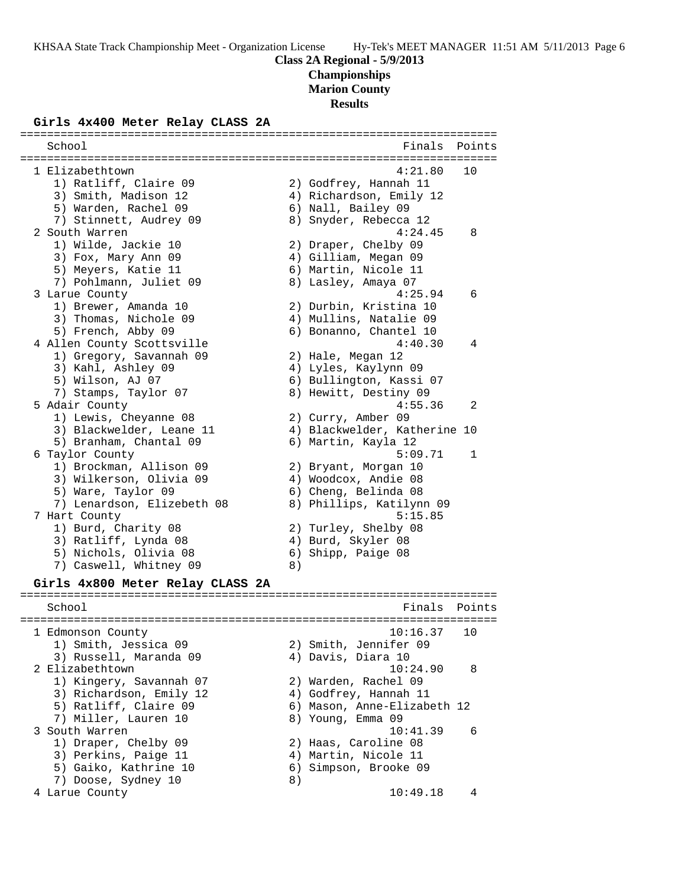**Championships Marion County**

# **Results**

### **Girls 4x400 Meter Relay CLASS 2A**

| School                                                |    | Finals                                    | Points |
|-------------------------------------------------------|----|-------------------------------------------|--------|
| 1 Elizabethtown                                       |    | 4:21.80                                   | 10     |
| 1) Ratliff, Claire 09                                 |    | 2) Godfrey, Hannah 11                     |        |
| 3) Smith, Madison 12                                  |    | 4) Richardson, Emily 12                   |        |
| 5) Warden, Rachel 09                                  |    | 6) Nall, Bailey 09                        |        |
| 7) Stinnett, Audrey 09                                |    | 8) Snyder, Rebecca 12                     |        |
| 2 South Warren                                        |    | 4:24.45                                   | 8      |
| 1) Wilde, Jackie 10                                   |    | 2) Draper, Chelby 09                      |        |
| 3) Fox, Mary Ann 09                                   |    | 4) Gilliam, Megan 09                      |        |
| 5) Meyers, Katie 11                                   |    | 6) Martin, Nicole 11                      |        |
| 7) Pohlmann, Juliet 09                                |    | 8) Lasley, Amaya 07                       |        |
| 3 Larue County                                        |    | 4:25.94                                   | 6      |
| 1) Brewer, Amanda 10                                  |    | 2) Durbin, Kristina 10                    |        |
| 3) Thomas, Nichole 09                                 |    | 4) Mullins, Natalie 09                    |        |
| 5) French, Abby 09                                    |    | 6) Bonanno, Chantel 10                    |        |
| 4 Allen County Scottsville<br>1) Gregory, Savannah 09 |    | 4:40.30                                   | 4      |
| 3) Kahl, Ashley 09                                    |    | 2) Hale, Megan 12<br>4) Lyles, Kaylynn 09 |        |
| 5) Wilson, AJ 07                                      |    | 6) Bullington, Kassi 07                   |        |
| 7) Stamps, Taylor 07                                  |    | 8) Hewitt, Destiny 09                     |        |
| 5 Adair County                                        |    | 4:55.36                                   | 2      |
| 1) Lewis, Cheyanne 08                                 |    | 2) Curry, Amber 09                        |        |
| 3) Blackwelder, Leane 11                              |    | 4) Blackwelder, Katherine 10              |        |
| 5) Branham, Chantal 09                                |    | 6) Martin, Kayla 12                       |        |
| 6 Taylor County                                       |    | 5:09.71                                   | 1      |
| 1) Brockman, Allison 09                               |    | 2) Bryant, Morgan 10                      |        |
| 3) Wilkerson, Olivia 09                               |    | 4) Woodcox, Andie 08                      |        |
| 5) Ware, Taylor 09                                    |    | 6) Cheng, Belinda 08                      |        |
| 7) Lenardson, Elizebeth 08                            |    | 8) Phillips, Katilynn 09                  |        |
| 7 Hart County                                         |    | 5:15.85                                   |        |
| 1) Burd, Charity 08                                   |    | 2) Turley, Shelby 08                      |        |
| 3) Ratliff, Lynda 08                                  |    | 4) Burd, Skyler 08                        |        |
| 5) Nichols, Olivia 08                                 |    | 6) Shipp, Paige 08                        |        |
| 7) Caswell, Whitney 09                                | 8) |                                           |        |
| Girls 4x800 Meter Relay CLASS 2A                      |    |                                           |        |
| School                                                |    | Finals                                    | Points |
|                                                       |    | 10:16.37                                  |        |
| 1 Edmonson County<br>1) Smith, Jessica 09             |    | 2) Smith, Jennifer 09                     | 10     |
| 3) Russell, Maranda 09                                |    | 4) Davis, Diara 10                        |        |
| 2 Elizabethtown                                       |    | 10:24.90                                  | 8      |
| 1) Kingery, Savannah 07                               |    | 2) Warden, Rachel 09                      |        |
| 3) Richardson, Emily 12                               |    | 4) Godfrey, Hannah 11                     |        |
| 5) Ratliff, Claire 09                                 |    | 6) Mason, Anne-Elizabeth 12               |        |
| 7) Miller, Lauren 10                                  |    | 8) Young, Emma 09                         |        |
| 3 South Warren                                        |    | 10:41.39                                  | 6      |
| 1) Draper, Chelby 09                                  |    | 2) Haas, Caroline 08                      |        |
| 3) Perkins, Paige 11                                  |    | 4) Martin, Nicole 11                      |        |
| 5) Gaiko, Kathrine 10                                 |    | 6) Simpson, Brooke 09                     |        |
| 7) Doose, Sydney 10                                   | 8) |                                           |        |
| 4 Larue County                                        |    | 10:49.18                                  | 4      |
|                                                       |    |                                           |        |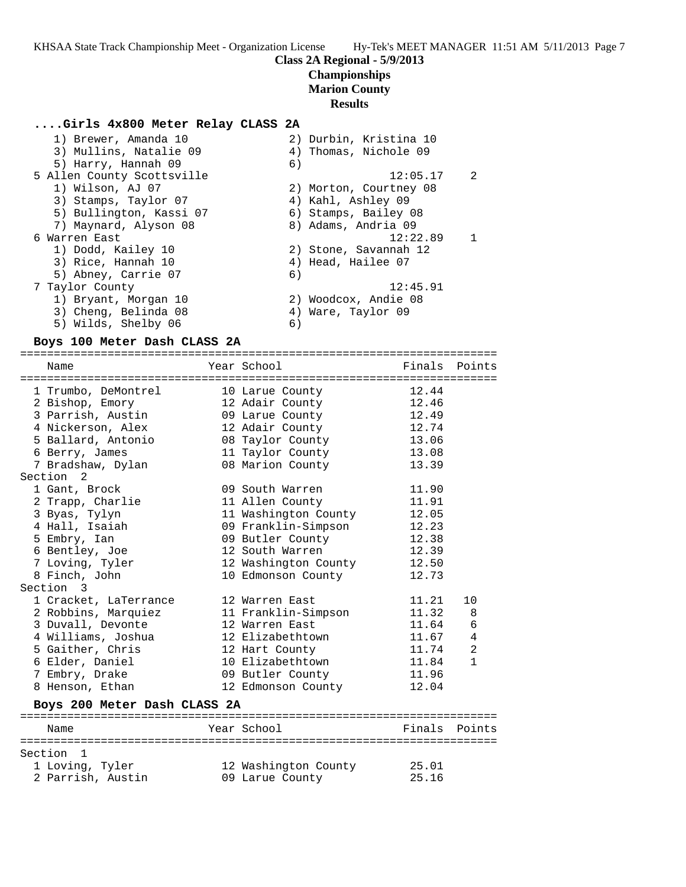### **Class 2A Regional - 5/9/2013 Championships Marion County**

#### **Results**

#### **....Girls 4x800 Meter Relay CLASS 2A**

| 1) Brewer, Amanda 10       | 2) Durbin, Kristina 10 |
|----------------------------|------------------------|
| 3) Mullins, Natalie 09     | 4) Thomas, Nichole 09  |
| 5) Harry, Hannah 09        | 6)                     |
| 5 Allen County Scottsville | 12:05.17<br>2          |
| 1) Wilson, AJ 07           | 2) Morton, Courtney 08 |
| 3) Stamps, Taylor 07       | 4) Kahl, Ashley 09     |
| 5) Bullington, Kassi 07    | 6) Stamps, Bailey 08   |
| 7) Maynard, Alyson 08      | 8) Adams, Andria 09    |
| 6 Warren East              | 12:22.89               |
| 1) Dodd, Kailey 10         | 2) Stone, Savannah 12  |
| 3) Rice, Hannah 10         | 4) Head, Hailee 07     |
| 5) Abney, Carrie 07        | 6)                     |
| 7 Taylor County            | 12:45.91               |
| 1) Bryant, Morgan 10       | 2) Woodcox, Andie 08   |
| 3) Cheng, Belinda 08       | 4) Ware, Taylor 09     |
| 5) Wilds, Shelby 06        | 6)                     |

#### **Boys 100 Meter Dash CLASS 2A**

======================================================================= Name Tear School Tear School Finals Points ======================================================================= 1 Trumbo, DeMontrel 10 Larue County 12.44 2 Bishop, Emory 12 Adair County 12.46 3 Parrish, Austin 09 Larue County 12.49 4 Nickerson, Alex 12 Adair County 12.74 5 Ballard, Antonio 08 Taylor County 13.06 6 Berry, James 11 Taylor County 13.08 7 Bradshaw, Dylan 08 Marion County 13.39 Section 2 1 Gant, Brock 09 South Warren 11.90 2 Trapp, Charlie 11 Allen County 11.91 3 Byas, Tylyn 11 Washington County 12.05 4 Hall, Isaiah 09 Franklin-Simpson 12.23 5 Embry, Ian 09 Butler County 12.38 6 Bentley, Joe 12 South Warren 12.39 7 Loving, Tyler 12 Washington County 12.50 8 Finch, John 10 Edmonson County 12.73 Section 3 1 Cracket, LaTerrance 12 Warren East 11.21 10 2 Robbins, Marquiez 11 Franklin-Simpson 11.32 8 3 Duvall, Devonte 12 Warren East 11.64 6 4 Williams, Joshua 12 Elizabethtown 11.67 4 5 Gaither, Chris 12 Hart County 11.74 2 6 Elder, Daniel 10 Elizabethtown 11.84 1 7 Embry, Drake 09 Butler County 11.96 8 Henson, Ethan 12 Edmonson County 12.04 **Boys 200 Meter Dash CLASS 2A** =======================================================================

#### Name The Year School Team Points Points =======================================================================

| Section 1         |                      |       |
|-------------------|----------------------|-------|
| 1 Loving, Tyler   | 12 Washington County | 25.01 |
| 2 Parrish, Austin | 09 Larue County      | 25.16 |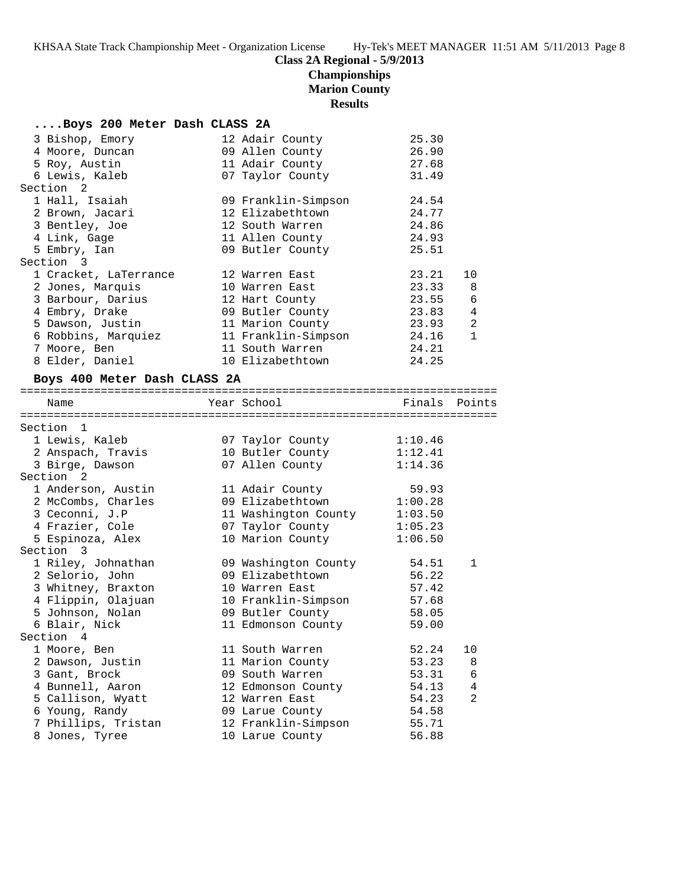## **Championships**

**Marion County**

## **Results**

### **....Boys 200 Meter Dash CLASS 2A**

| 3 Bishop, Emory       | 12 Adair County     | 25.30 |                |
|-----------------------|---------------------|-------|----------------|
| 4 Moore, Duncan       | 09 Allen County     | 26.90 |                |
| 5 Roy, Austin         | 11 Adair County     | 27.68 |                |
| 6 Lewis, Kaleb        | 07 Taylor County    | 31.49 |                |
| Section 2             |                     |       |                |
| 1 Hall, Isaiah        | 09 Franklin-Simpson | 24.54 |                |
| 2 Brown, Jacari       | 12 Elizabethtown    | 24.77 |                |
| 3 Bentley, Joe        | 12 South Warren     | 24.86 |                |
| 4 Link, Gage          | 11 Allen County     | 24.93 |                |
| 5 Embry, Ian          | 09 Butler County    | 25.51 |                |
| Section 3             |                     |       |                |
| 1 Cracket, LaTerrance | 12 Warren East      | 23.21 | 10             |
| 2 Jones, Marquis      | 10 Warren East      | 23.33 | 8 <sup>8</sup> |
| 3 Barbour, Darius     | 12 Hart County      | 23.55 | 6              |
| 4 Embry, Drake        | 09 Butler County    | 23.83 | $\overline{4}$ |
| 5 Dawson, Justin      | 11 Marion County    | 23.93 | 2              |
| 6 Robbins, Marquiez   | 11 Franklin-Simpson | 24.16 | $\mathbf{1}$   |
| 7 Moore, Ben          | 11 South Warren     | 24.21 |                |
| 8 Elder, Daniel       | 10 Elizabethtown    | 24.25 |                |

### **Boys 400 Meter Dash CLASS 2A**

| Name                 | Year School                  | Finals Points |                |
|----------------------|------------------------------|---------------|----------------|
|                      |                              |               |                |
| Section <sub>1</sub> |                              |               |                |
| 1 Lewis, Kaleb       | 07 Taylor County             | 1:10.46       |                |
| 2 Anspach, Travis    | 10 Butler County             | 1:12.41       |                |
| 3 Birge, Dawson      | 07 Allen County              | 1:14.36       |                |
| Section <sub>2</sub> |                              |               |                |
| 1 Anderson, Austin   | 11 Adair County              | 59.93         |                |
| 2 McCombs, Charles   | 09 Elizabethtown 1:00.28     |               |                |
| 3 Ceconni, J.P       | 11 Washington County 1:03.50 |               |                |
| 4 Frazier, Cole      | 07 Taylor County 1:05.23     |               |                |
| 5 Espinoza, Alex     | 10 Marion County             | 1:06.50       |                |
| Section 3            |                              |               |                |
| 1 Riley, Johnathan   | 09 Washington County 54.51   |               | 1              |
| 2 Selorio, John      | 09 Elizabethtown             | 56.22         |                |
| 3 Whitney, Braxton   | 10 Warren East               | 57.42         |                |
| 4 Flippin, Olajuan   | 10 Franklin-Simpson          | 57.68         |                |
| 5 Johnson, Nolan     | 09 Butler County             | 58.05         |                |
| 6 Blair, Nick        | 11 Edmonson County           | 59.00         |                |
| Section 4            |                              |               |                |
| 1 Moore, Ben         | 11 South Warren              | 52.24         | 10             |
| 2 Dawson, Justin     | 11 Marion County             | 53.23         | 8              |
| 3 Gant, Brock        | 09 South Warren              | 53.31         | 6              |
| 4 Bunnell, Aaron     | 12 Edmonson County           | 54.13         | $\overline{4}$ |
| 5 Callison, Wyatt    | 12 Warren East               | 54.23         | 2              |
| 6 Young, Randy       | 09 Larue County              | 54.58         |                |
| 7 Phillips, Tristan  | 12 Franklin-Simpson          | 55.71         |                |
| 8 Jones, Tyree       | 10 Larue County              | 56.88         |                |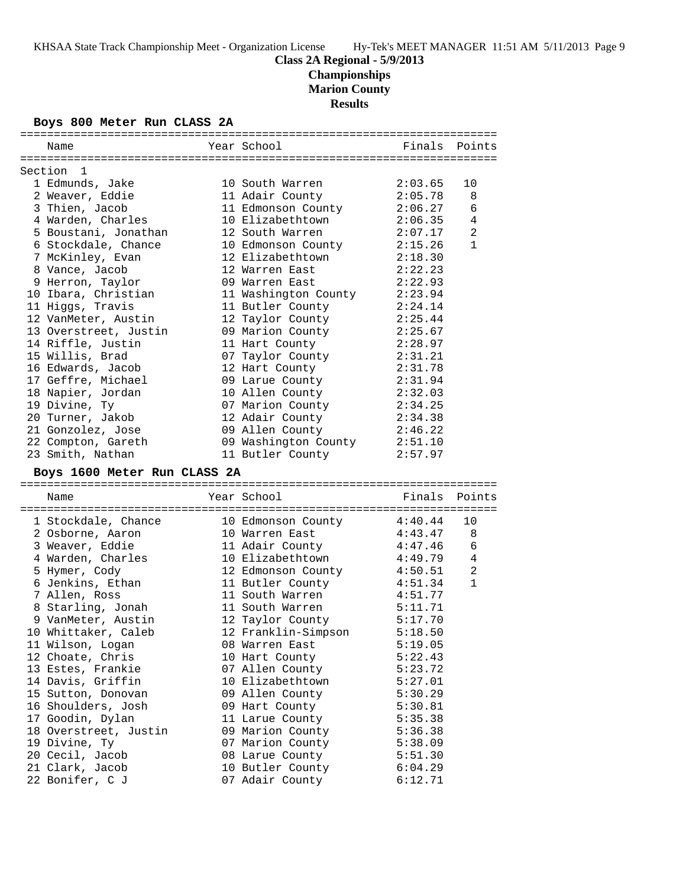**Championships Marion County**

**Results**

### **Boys 800 Meter Run CLASS 2A**

| Name                                    | Year School                                     |                    | Finals Points |
|-----------------------------------------|-------------------------------------------------|--------------------|---------------|
|                                         |                                                 |                    |               |
| Section 1                               |                                                 |                    |               |
| 1 Edmunds, Jake                         | 10 South Warren                                 | 2:03.65            | 10            |
| 2 Weaver, Eddie                         | 11 Adair County                                 | 2:05.78            | 8             |
| 3 Thien, Jacob                          | 11 Edmonson County                              | 2:06.27            | 6             |
| 4 Warden, Charles                       | 10 Elizabethtown                                | 2:06.35            | 4             |
| 5 Boustani, Jonathan                    | 12 South Warren                                 | 2:07.17            | 2             |
| 6 Stockdale, Chance                     | 10 Edmonson County                              | 2:15.26            | $\mathbf{1}$  |
| 7 McKinley, Evan                        | 12 Elizabethtown                                | 2:18.30            |               |
| 8 Vance, Jacob                          | 12 Warren East                                  | 2:22.23            |               |
| 9 Herron, Taylor                        | 09 Warren East                                  | 2:22.93            |               |
| 10 Ibara, Christian                     | 11 Washington County                            | 2:23.94            |               |
| 11 Higgs, Travis                        | 11 Butler County                                | 2:24.14            |               |
| 12 VanMeter, Austin                     | 12 Taylor County                                | 2:25.44            |               |
| 13 Overstreet, Justin                   | 09 Marion County                                | 2:25.67            |               |
| 14 Riffle, Justin                       | 11 Hart County                                  | 2:28.97            |               |
| 15 Willis, Brad                         | 07 Taylor County                                | 2:31.21            |               |
| 16 Edwards, Jacob                       | 12 Hart County                                  | 2:31.78            |               |
| 17 Geffre, Michael                      | 09 Larue County                                 | 2:31.94            |               |
| 18 Napier, Jordan                       | 10 Allen County                                 | 2:32.03            |               |
| 19 Divine, Ty                           | 07 Marion County                                | 2:34.25            |               |
| 20 Turner, Jakob                        | 12 Adair County                                 | 2:34.38<br>2:46.22 |               |
| 21 Gonzolez, Jose<br>22 Compton, Gareth | 09 Allen County<br>09 Washington County 2:51.10 |                    |               |
| 23 Smith, Nathan                        | 11 Butler County                                | 2:57.97            |               |
|                                         |                                                 |                    |               |
|                                         |                                                 |                    |               |
| Boys 1600 Meter Run CLASS 2A            |                                                 |                    |               |
|                                         |                                                 |                    |               |
| Name                                    | Year School                                     |                    | Finals Points |
| 1 Stockdale, Chance                     |                                                 |                    | 10            |
| 2 Osborne, Aaron                        | 10 Edmonson County 4:40.44<br>10 Warren East    | 4:43.47            | 8             |
| 3 Weaver, Eddie                         | 11 Adair County                                 | 4:47.46            | 6             |
| 4 Warden, Charles                       | 10 Elizabethtown                                |                    | 4             |
| 5 Hymer, Cody                           |                                                 | 4:49.79<br>4:50.51 | 2             |
| 6 Jenkins, Ethan                        | 12 Edmonson County<br>11 Butler County          | 4:51.34            | $\mathbf{1}$  |
| 7 Allen, Ross                           | 11 South Warren                                 | 4:51.77            |               |
| 8 Starling, Jonah                       | 11 South Warren                                 | 5:11.71            |               |
| 9 VanMeter, Austin                      | 12 Taylor County                                | 5:17.70            |               |
| 10 Whittaker, Caleb                     | 12 Franklin-Simpson                             | 5:18.50            |               |
| 11 Wilson, Logan                        | 08 Warren East                                  | 5:19.05            |               |
| 12 Choate, Chris                        | 10 Hart County                                  | 5:22.43            |               |
| 13 Estes, Frankie                       | 07 Allen County                                 | 5:23.72            |               |
| 14 Davis, Griffin                       | 10 Elizabethtown                                | 5:27.01            |               |
| 15 Sutton, Donovan                      | 09 Allen County                                 | 5:30.29            |               |
| 16 Shoulders, Josh                      | 09 Hart County                                  | 5:30.81            |               |
| 17 Goodin, Dylan                        | 11 Larue County                                 | 5:35.38            |               |
| 18 Overstreet, Justin                   | 09 Marion County                                | 5:36.38            |               |
| 19 Divine, Ty                           | 07 Marion County                                | 5:38.09            |               |
| 20 Cecil, Jacob                         | 08 Larue County                                 | 5:51.30            |               |
| 21 Clark, Jacob<br>22 Bonifer, C J      | 10 Butler County<br>07 Adair County             | 6:04.29<br>6:12.71 |               |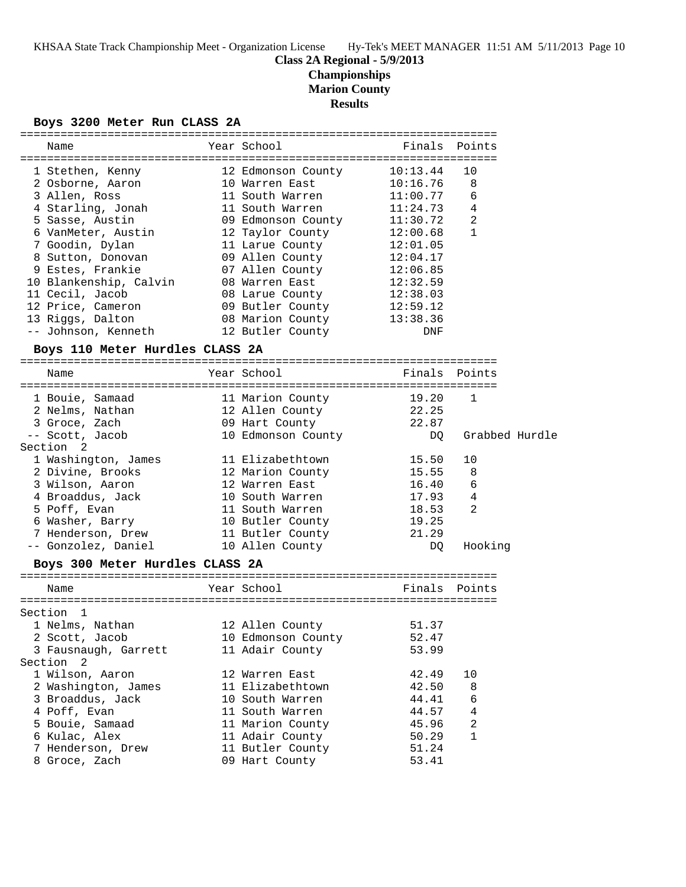**Championships Marion County**

# **Results**

### **Boys 3200 Meter Run CLASS 2A**

| Name                                   | Year School               | Finals                           | Points         |  |
|----------------------------------------|---------------------------|----------------------------------|----------------|--|
|                                        |                           |                                  |                |  |
| 1 Stethen, Kenny                       | 12 Edmonson County        | 10:13.44                         | 10             |  |
| 2 Osborne, Aaron                       | 10 Warren East            | 10:16.76                         | 8              |  |
| 3 Allen, Ross                          | 11 South Warren           | 11:00.77                         | 6              |  |
| 4 Starling, Jonah                      | 11 South Warren           | 11:24.73                         | 4              |  |
| 5 Sasse, Austin                        | 09 Edmonson County        | 11:30.72                         | $\overline{2}$ |  |
| 6 VanMeter, Austin                     | 12 Taylor County          | 12:00.68                         | $\mathbf{1}$   |  |
| 7 Goodin, Dylan                        | 11 Larue County           | 12:01.05                         |                |  |
| 8 Sutton, Donovan                      | 09 Allen County           | 12:04.17                         |                |  |
| 9 Estes, Frankie                       | 07 Allen County           | 12:06.85                         |                |  |
| 10 Blankenship, Calvin                 | 08 Warren East            | 12:32.59                         |                |  |
| 11 Cecil, Jacob                        | 08 Larue County           | 12:38.03                         |                |  |
| 12 Price, Cameron                      | 09 Butler County 12:59.12 |                                  |                |  |
| 13 Riggs, Dalton                       | 08 Marion County          | 13:38.36                         |                |  |
| -- Johnson, Kenneth                    | 12 Butler County          | DNF                              |                |  |
|                                        |                           |                                  |                |  |
| Boys 110 Meter Hurdles CLASS 2A        |                           |                                  |                |  |
|                                        |                           |                                  |                |  |
| Name                                   | Year School               | Finals                           | Points         |  |
|                                        |                           |                                  |                |  |
| 1 Bouie, Samaad                        | 11 Marion County          | 19.20                            | $\mathbf 1$    |  |
| 2 Nelms, Nathan                        | 12 Allen County           | 22.25                            |                |  |
| 3 Groce, Zach                          | 09 Hart County            | 22.87                            |                |  |
| -- Scott, Jacob                        | 10 Edmonson County        | DQ                               | Grabbed Hurdle |  |
| Section <sub>2</sub>                   |                           |                                  |                |  |
| 1 Washington, James                    | 11 Elizabethtown          | 15.50                            | 10             |  |
| 2 Divine, Brooks                       | 12 Marion County          | 15.55                            | 8              |  |
| 3 Wilson, Aaron                        | 12 Warren East            | 16.40                            | 6              |  |
| 4 Broaddus, Jack                       | 10 South Warren           | 17.93                            | 4              |  |
| 5 Poff, Evan                           | 11 South Warren           | 18.53                            | 2              |  |
| 6 Washer, Barry                        | 10 Butler County          | 19.25                            |                |  |
| 7 Henderson, Drew                      | 11 Butler County          | 21.29                            |                |  |
| -- Gonzolez, Daniel                    | 10 Allen County           | DQ                               | Hooking        |  |
| Boys 300 Meter Hurdles CLASS 2A        |                           |                                  |                |  |
|                                        |                           |                                  |                |  |
| Name                                   | Year School               | Finals                           | Points         |  |
| ====================================== |                           | :=============================== |                |  |
| Section 1                              |                           |                                  |                |  |
| 1 Nelms, Nathan                        | 12 Allen County           | 51.37                            |                |  |
| 2 Scott, Jacob                         | 10 Edmonson County        | 52.47                            |                |  |
| 3 Fausnaugh, Garrett                   | 11 Adair County           | 53.99                            |                |  |
| Section<br>$\overline{2}$              |                           |                                  |                |  |
| 1 Wilson, Aaron                        | 12 Warren East            | 42.49                            | 10             |  |
| 2 Washington, James                    | 11 Elizabethtown          | 42.50                            | 8              |  |
| 3 Broaddus, Jack                       | 10 South Warren           | 44.41                            | 6              |  |
| 4 Poff, Evan                           | 11 South Warren           | 44.57                            | 4              |  |
| 5 Bouie, Samaad                        | 11 Marion County          | 45.96                            | 2              |  |
| 6 Kulac, Alex                          | 11 Adair County           | 50.29                            | 1              |  |
| 7 Henderson, Drew                      | 11 Butler County          | 51.24                            |                |  |
| 8 Groce, Zach                          | 09 Hart County            | 53.41                            |                |  |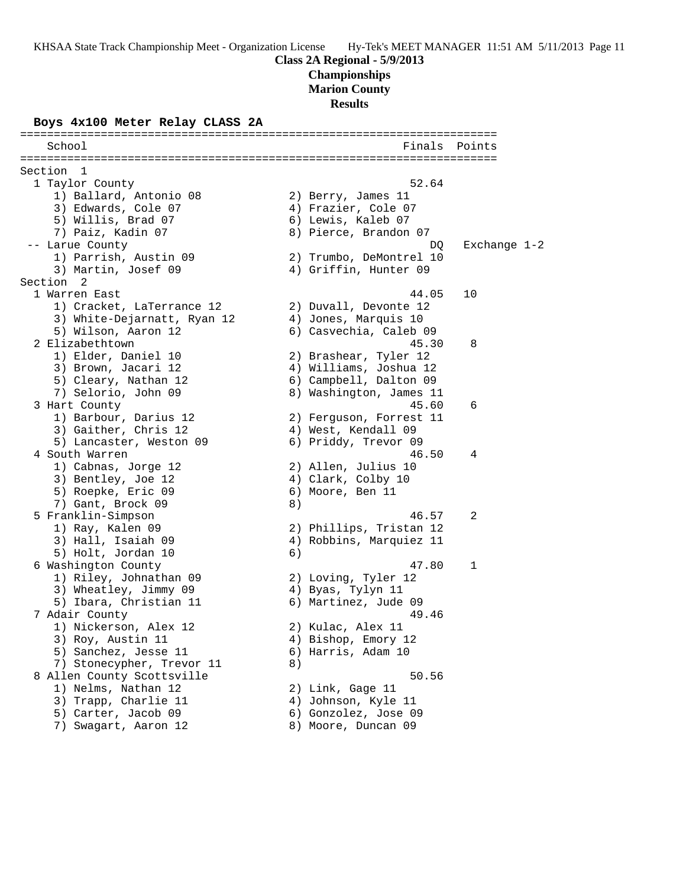**Championships**

**Marion County**

**Results**

### **Boys 4x100 Meter Relay CLASS 2A**

======================================================================= School **Finals** Points **Points** ======================================================================= Section 1<br>1 Taylor County 1 Taylor County 52.64 1) Ballard, Antonio 08 2) Berry, James 11 3) Edwards, Cole 07 (4) Frazier, Cole 07 5) Willis, Brad 07 6) Lewis, Kaleb 07 7) Paiz, Kadin 07 8) Pierce, Brandon 07 -- Larue County DQ Exchange 1-2 1) Parrish, Austin 09 2) Trumbo, DeMontrel 10 3) Martin, Josef 09 4) Griffin, Hunter 09 Section 2<br>1 Warren East 1 Warren East 44.05 10 1) Cracket, LaTerrance 12 2) Duvall, Devonte 12 3) White-Dejarnatt, Ryan 12 4) Jones, Marquis 10 5) Wilson, Aaron 12 6) Casvechia, Caleb 09 2 Elizabethtown 45.30 8 1) Elder, Daniel 10 2) Brashear, Tyler 12 3) Brown, Jacari 12 4) Williams, Joshua 12 5) Cleary, Nathan 12 6) Campbell, Dalton 09 7) Selorio, John 09 8) Washington, James 11 3 Hart County 45.60 6 1) Barbour, Darius 12 2) Ferguson, Forrest 11 3) Gaither, Chris 12 (4) West, Kendall 09 5) Lancaster, Weston 09 (6) Priddy, Trevor 09 4 South Warren 46.50 4 1) Cabnas, Jorge 12 2) Allen, Julius 10 3) Bentley, Joe 12 (4) Clark, Colby 10 5) Roepke, Eric 09 6) Moore, Ben 11 7) Gant, Brock 09 8) 5 Franklin-Simpson 46.57 2 1) Ray, Kalen 09 2) Phillips, Tristan 12 3) Hall, Isaiah 09 4) Robbins, Marquiez 11 5) Holt, Jordan 10 (6) 6 Washington County 47.80 1 1) Riley, Johnathan 09 2) Loving, Tyler 12 3) Wheatley, Jimmy 09  $\hskip1cm 4)$  Byas, Tylyn 11 5) Ibara, Christian 11 6) Martinez, Jude 09 7 Adair County 49.46 1) Nickerson, Alex 12 2) Kulac, Alex 11 3) Roy, Austin 11 4) Bishop, Emory 12 5) Sanchez, Jesse 11 6) Harris, Adam 10 7) Stonecypher, Trevor 11 8) 8 Allen County Scottsville 50.56 1) Nelms, Nathan 12 2) Link, Gage 11 3) Trapp, Charlie 11 (4) Johnson, Kyle 11 5) Carter, Jacob 09 6) Gonzolez, Jose 09 7) Swagart, Aaron 12 8) Moore, Duncan 09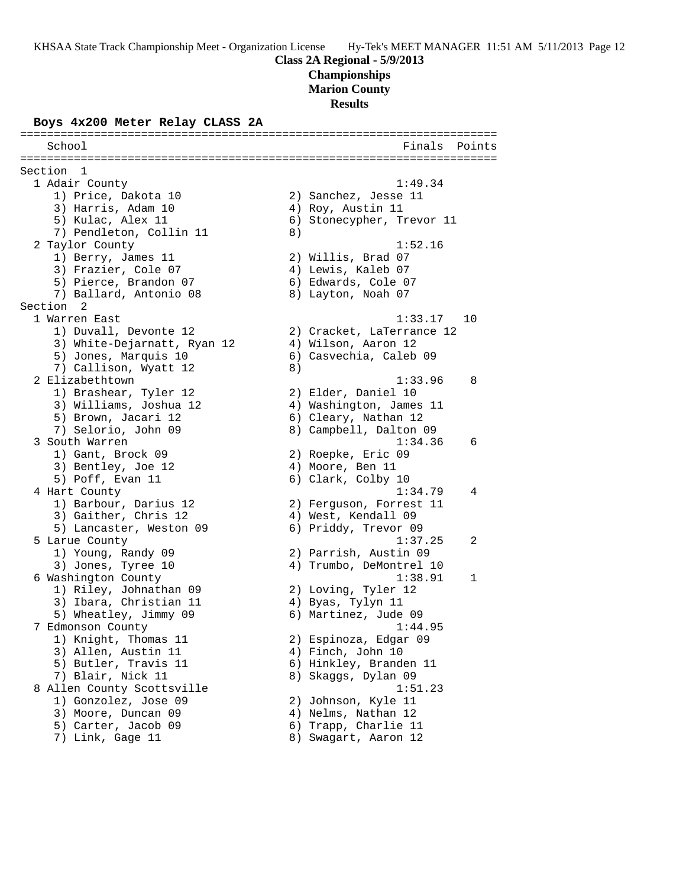### **Class 2A Regional - 5/9/2013 Championships Marion County**

**Results**

#### **Boys 4x200 Meter Relay CLASS 2A**

======================================================================= School **Finals** Points **Points** ======================================================================= Section 1<br>1 Adair County 1 Adair County 1:49.34 1) Price, Dakota 10 2) Sanchez, Jesse 11 3) Harris, Adam 10 (4) Roy, Austin 11 5) Kulac, Alex 11 6) Stonecypher, Trevor 11 7) Pendleton, Collin 11 a 2 Taylor County 1:52.16 1) Berry, James 11 2) Willis, Brad 07 3) Frazier, Cole 07 (4) Lewis, Kaleb 07 5) Pierce, Brandon 07 (6) Edwards, Cole 07 7) Ballard, Antonio 08 8) Layton, Noah 07 Section 2 1 Warren East 1:33.17 10 1) Duvall, Devonte 12 2) Cracket, LaTerrance 12 3) White-Dejarnatt, Ryan 12 4) Wilson, Aaron 12 5) Jones, Marquis 10 6) Casvechia, Caleb 09 7) Callison, Wyatt 12 (8) 2 Elizabethtown 1:33.96 8 1) Brashear, Tyler 12 2) Elder, Daniel 10 3) Williams, Joshua 12 4) Washington, James 11 5) Brown, Jacari 12  $\qquad \qquad$  6) Cleary, Nathan 12 7) Selorio, John 09 8) Campbell, Dalton 09 3 South Warren 1:34.36 6 1) Gant, Brock 09 2) Roepke, Eric 09 3) Bentley, Joe 12 (a) 4) Moore, Ben 11 5) Poff, Evan 11 6) Clark, Colby 10 4 Hart County 1:34.79 4 1) Barbour, Darius 12 2) Ferguson, Forrest 11 3) Gaither, Chris 12 (4) West, Kendall 09 5) Lancaster, Weston 09 6) Priddy, Trevor 09 5 Larue County 1:37.25 2 1) Young, Randy 09 2) Parrish, Austin 09 3) Jones, Tyree 10 4) Trumbo, DeMontrel 10 6 Washington County 1:38.91 1 1) Riley, Johnathan 09 2) Loving, Tyler 12 3) Ibara, Christian 11  $\hskip10mm$  4) Byas, Tylyn 11 5) Wheatley, Jimmy 09  $\,$  6) Martinez, Jude 09  $\,$  7 Edmonson County 1:44.95 1) Knight, Thomas 11 2) Espinoza, Edgar 09 3) Allen, Austin 11 (4) Finch, John 10 5) Butler, Travis 11 6) Hinkley, Branden 11 7) Blair, Nick 11 8) Skaggs, Dylan 09 8 Allen County Scottsville 1:51.23 1) Gonzolez, Jose 09 2) Johnson, Kyle 11 3) Moore, Duncan 09 4) Nelms, Nathan 12 5) Carter, Jacob 09 6) Trapp, Charlie 11 7) Link, Gage 11 8) Swagart, Aaron 12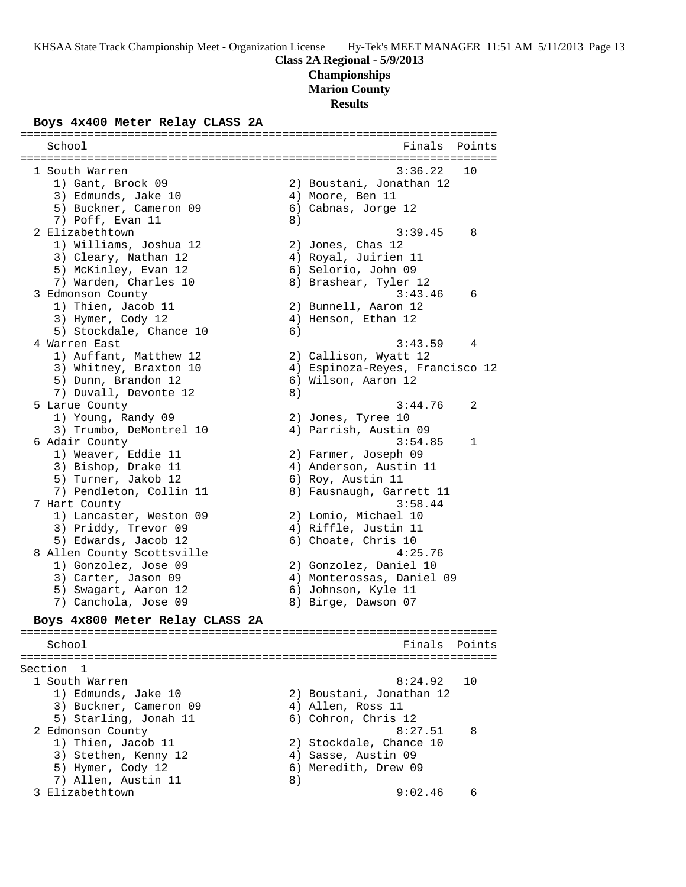### **Class 2A Regional - 5/9/2013 Championships**

**Marion County**

**Results**

#### **Boys 4x400 Meter Relay CLASS 2A**

======================================================================= School **Finals** Points ======================================================================= 1 South Warren 3:36.22 10 1) Gant, Brock 09 2) Boustani, Jonathan 12 3) Edmunds, Jake 10 (4) Moore, Ben 11 5) Buckner, Cameron 09 (6) Cabnas, Jorge 12 7) Poff, Evan 11 8) 2 Elizabethtown 3:39.45 8 1) Williams, Joshua 12 2) Jones, Chas 12 3) Cleary, Nathan 12  $\hskip1cm 4)$  Royal, Juirien 11 5) McKinley, Evan 12 6) Selorio, John 09 7) Warden, Charles 10 8) Brashear, Tyler 12 3 Edmonson County 3:43.46 6 1) Thien, Jacob 11 2) Bunnell, Aaron 12 3) Hymer, Cody 12 (4) Henson, Ethan 12 5) Stockdale, Chance 10 (6) 4 Warren East 3:43.59 4 1) Auffant, Matthew 12 2) Callison, Wyatt 12 3) Whitney, Braxton 10 4) Espinoza-Reyes, Francisco 12 5) Dunn, Brandon 12 6) Wilson, Aaron 12 7) Duvall, Devonte 12 (8) 5 Larue County 3:44.76 2 1) Young, Randy 09 2) Jones, Tyree 10 3) Trumbo, DeMontrel 10 4) Parrish, Austin 09 6 Adair County 3:54.85 1 1) Weaver, Eddie 11 2) Farmer, Joseph 09 3) Bishop, Drake 11 4) Anderson, Austin 11 5) Turner, Jakob 12 (6) Roy, Austin 11 7) Pendleton, Collin 11 (8) Fausnaugh, Garrett 11 7 Hart County 3:58.44 1) Lancaster, Weston 09 2) Lomio, Michael 10 3) Priddy, Trevor 09  $\hskip1cm$  4) Riffle, Justin 11 5) Edwards, Jacob 12 (6) Choate, Chris 10 8 Allen County Scottsville 4:25.76 1) Gonzolez, Jose 09 2) Gonzolez, Daniel 10 3) Carter, Jason 09 4) Monterossas, Daniel 09 5) Swagart, Aaron 12 6) Johnson, Kyle 11 7) Canchola, Jose 09 8) Birge, Dawson 07 **Boys 4x800 Meter Relay CLASS 2A** ======================================================================= School **Finals Points** ======================================================================= Section 1 1 South Warren 8:24.92 10 1) Edmunds, Jake 10 2) Boustani, Jonathan 12 3) Buckner, Cameron 09 (4) Allen, Ross 11 5) Starling, Jonah 11 (6) Cohron, Chris 12 2 Edmonson County 8:27.51 8 1) Thien, Jacob 11 2) Stockdale, Chance 10 3) Stethen, Kenny 12 4) Sasse, Austin 09 5) Hymer, Cody 12 6) Meredith, Drew 09 7) Allen, Austin 11 and 8) 3 Elizabethtown 9:02.46 6